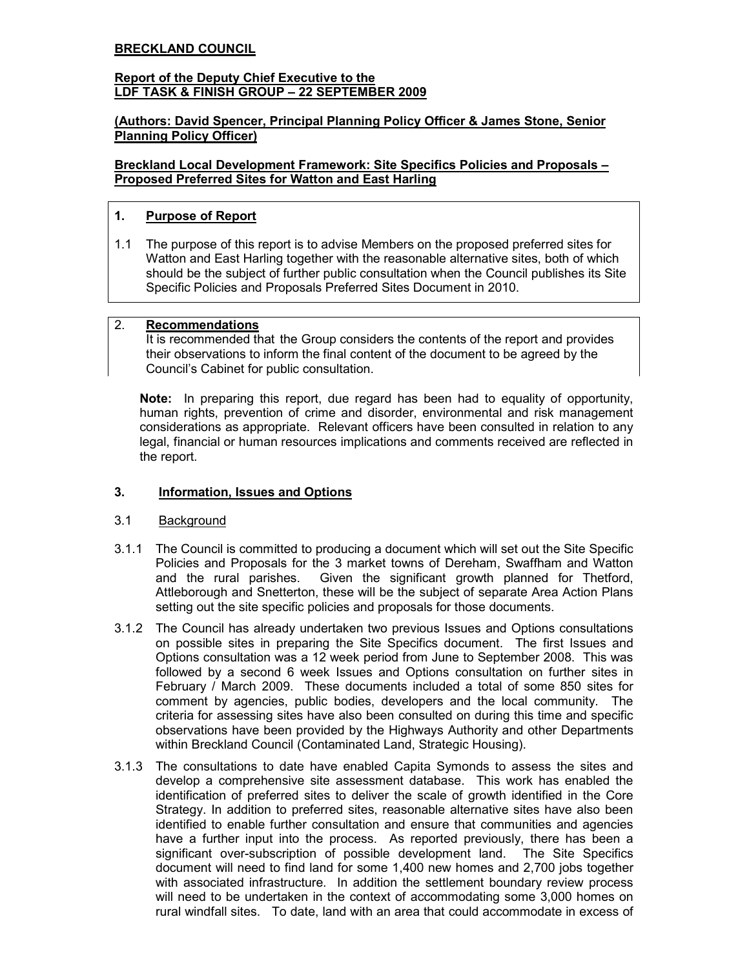#### BRECKLAND COUNCIL

#### Report of the Deputy Chief Executive to the LDF TASK & FINISH GROUP – 22 SEPTEMBER 2009

# (Authors: David Spencer, Principal Planning Policy Officer & James Stone, Senior Planning Policy Officer)

Breckland Local Development Framework: Site Specifics Policies and Proposals – Proposed Preferred Sites for Watton and East Harling

# 1. Purpose of Report

1.1 The purpose of this report is to advise Members on the proposed preferred sites for Watton and East Harling together with the reasonable alternative sites, both of which should be the subject of further public consultation when the Council publishes its Site Specific Policies and Proposals Preferred Sites Document in 2010.

#### 2. Recommendations

 It is recommended that the Group considers the contents of the report and provides their observations to inform the final content of the document to be agreed by the Council's Cabinet for public consultation.

Note: In preparing this report, due regard has been had to equality of opportunity, human rights, prevention of crime and disorder, environmental and risk management considerations as appropriate. Relevant officers have been consulted in relation to any legal, financial or human resources implications and comments received are reflected in the report.

# 3. Information, Issues and Options

# 3.1 Background

- 3.1.1 The Council is committed to producing a document which will set out the Site Specific Policies and Proposals for the 3 market towns of Dereham, Swaffham and Watton and the rural parishes. Given the significant growth planned for Thetford, Attleborough and Snetterton, these will be the subject of separate Area Action Plans setting out the site specific policies and proposals for those documents.
- 3.1.2 The Council has already undertaken two previous Issues and Options consultations on possible sites in preparing the Site Specifics document. The first Issues and Options consultation was a 12 week period from June to September 2008. This was followed by a second 6 week Issues and Options consultation on further sites in February / March 2009. These documents included a total of some 850 sites for comment by agencies, public bodies, developers and the local community. The criteria for assessing sites have also been consulted on during this time and specific observations have been provided by the Highways Authority and other Departments within Breckland Council (Contaminated Land, Strategic Housing).
- 3.1.3 The consultations to date have enabled Capita Symonds to assess the sites and develop a comprehensive site assessment database. This work has enabled the identification of preferred sites to deliver the scale of growth identified in the Core Strategy. In addition to preferred sites, reasonable alternative sites have also been identified to enable further consultation and ensure that communities and agencies have a further input into the process. As reported previously, there has been a significant over-subscription of possible development land. The Site Specifics document will need to find land for some 1,400 new homes and 2,700 jobs together with associated infrastructure. In addition the settlement boundary review process will need to be undertaken in the context of accommodating some 3,000 homes on rural windfall sites. To date, land with an area that could accommodate in excess of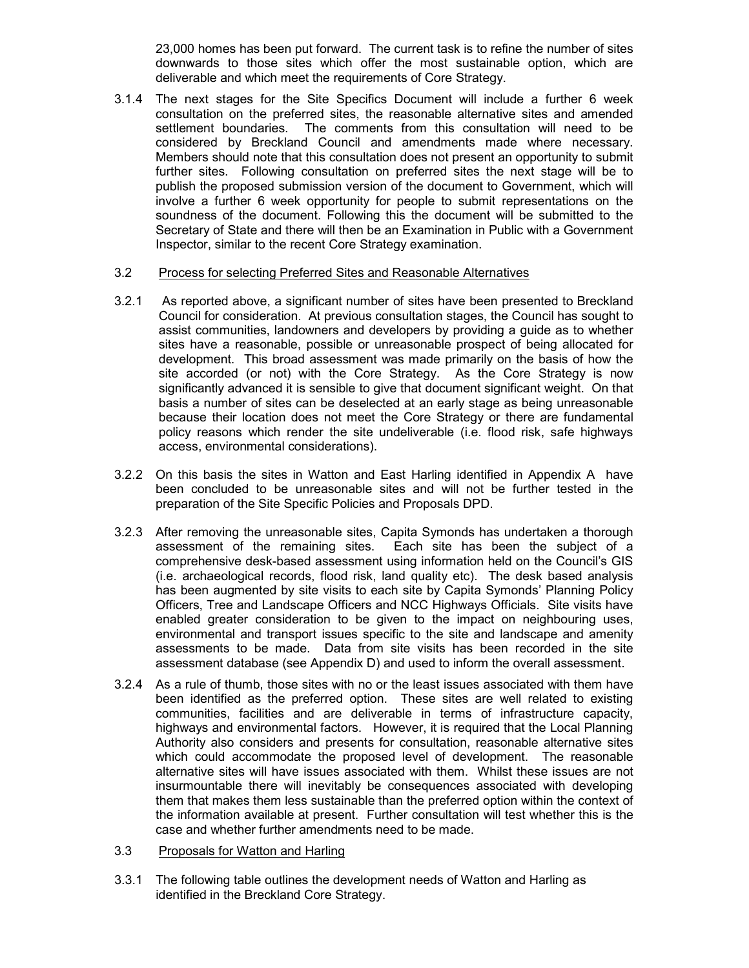23,000 homes has been put forward. The current task is to refine the number of sites downwards to those sites which offer the most sustainable option, which are deliverable and which meet the requirements of Core Strategy.

3.1.4 The next stages for the Site Specifics Document will include a further 6 week consultation on the preferred sites, the reasonable alternative sites and amended settlement boundaries. The comments from this consultation will need to be considered by Breckland Council and amendments made where necessary. Members should note that this consultation does not present an opportunity to submit further sites. Following consultation on preferred sites the next stage will be to publish the proposed submission version of the document to Government, which will involve a further 6 week opportunity for people to submit representations on the soundness of the document. Following this the document will be submitted to the Secretary of State and there will then be an Examination in Public with a Government Inspector, similar to the recent Core Strategy examination.

#### 3.2 Process for selecting Preferred Sites and Reasonable Alternatives

- 3.2.1 As reported above, a significant number of sites have been presented to Breckland Council for consideration. At previous consultation stages, the Council has sought to assist communities, landowners and developers by providing a guide as to whether sites have a reasonable, possible or unreasonable prospect of being allocated for development. This broad assessment was made primarily on the basis of how the site accorded (or not) with the Core Strategy. As the Core Strategy is now significantly advanced it is sensible to give that document significant weight. On that basis a number of sites can be deselected at an early stage as being unreasonable because their location does not meet the Core Strategy or there are fundamental policy reasons which render the site undeliverable (i.e. flood risk, safe highways access, environmental considerations).
- 3.2.2 On this basis the sites in Watton and East Harling identified in Appendix A have been concluded to be unreasonable sites and will not be further tested in the preparation of the Site Specific Policies and Proposals DPD.
- 3.2.3 After removing the unreasonable sites, Capita Symonds has undertaken a thorough assessment of the remaining sites. Each site has been the subject of a comprehensive desk-based assessment using information held on the Council's GIS (i.e. archaeological records, flood risk, land quality etc). The desk based analysis has been augmented by site visits to each site by Capita Symonds' Planning Policy Officers, Tree and Landscape Officers and NCC Highways Officials. Site visits have enabled greater consideration to be given to the impact on neighbouring uses, environmental and transport issues specific to the site and landscape and amenity assessments to be made. Data from site visits has been recorded in the site assessment database (see Appendix D) and used to inform the overall assessment.
- 3.2.4 As a rule of thumb, those sites with no or the least issues associated with them have been identified as the preferred option. These sites are well related to existing communities, facilities and are deliverable in terms of infrastructure capacity, highways and environmental factors. However, it is required that the Local Planning Authority also considers and presents for consultation, reasonable alternative sites which could accommodate the proposed level of development. The reasonable alternative sites will have issues associated with them. Whilst these issues are not insurmountable there will inevitably be consequences associated with developing them that makes them less sustainable than the preferred option within the context of the information available at present. Further consultation will test whether this is the case and whether further amendments need to be made.
- 3.3 Proposals for Watton and Harling
- 3.3.1 The following table outlines the development needs of Watton and Harling as identified in the Breckland Core Strategy.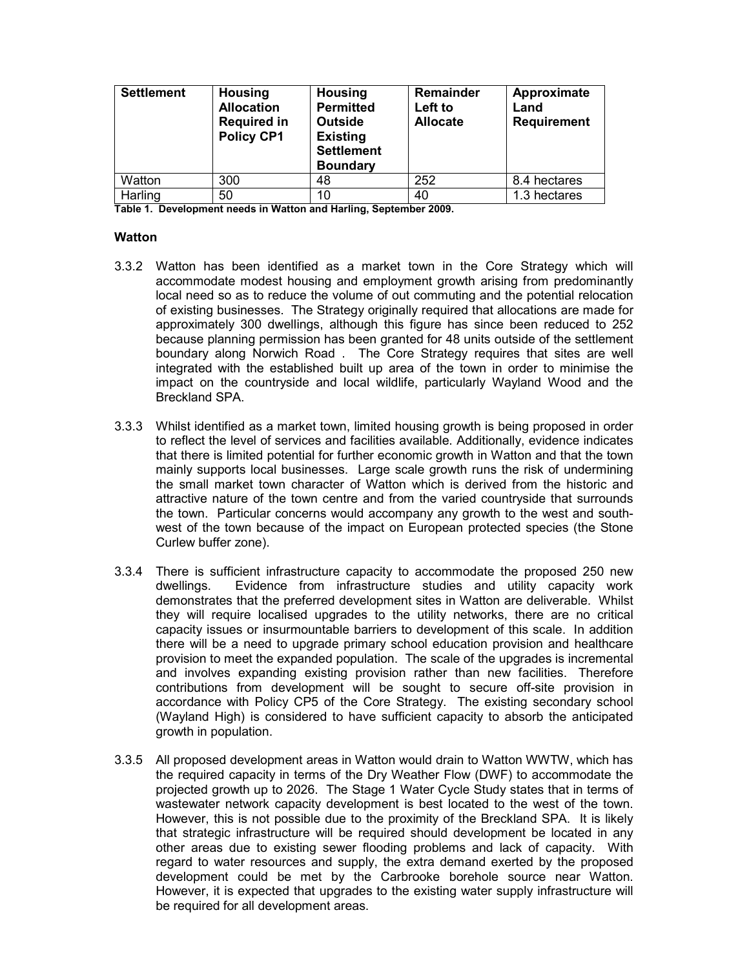| <b>Settlement</b> | <b>Housing</b><br><b>Allocation</b><br><b>Required in</b><br><b>Policy CP1</b> | <b>Housing</b><br><b>Permitted</b><br><b>Outside</b><br><b>Existing</b><br><b>Settlement</b><br><b>Boundary</b> | Remainder<br>Left to<br><b>Allocate</b> | Approximate<br>Land<br><b>Requirement</b> |
|-------------------|--------------------------------------------------------------------------------|-----------------------------------------------------------------------------------------------------------------|-----------------------------------------|-------------------------------------------|
| Watton            | 300                                                                            | 48                                                                                                              | 252                                     | 8.4 hectares                              |
| Harling           | 50                                                                             | 10                                                                                                              | 40                                      | 1.3 hectares                              |

Table 1. Development needs in Watton and Harling, September 2009.

#### Watton

- 3.3.2 Watton has been identified as a market town in the Core Strategy which will accommodate modest housing and employment growth arising from predominantly local need so as to reduce the volume of out commuting and the potential relocation of existing businesses. The Strategy originally required that allocations are made for approximately 300 dwellings, although this figure has since been reduced to 252 because planning permission has been granted for 48 units outside of the settlement boundary along Norwich Road . The Core Strategy requires that sites are well integrated with the established built up area of the town in order to minimise the impact on the countryside and local wildlife, particularly Wayland Wood and the Breckland SPA.
- 3.3.3 Whilst identified as a market town, limited housing growth is being proposed in order to reflect the level of services and facilities available. Additionally, evidence indicates that there is limited potential for further economic growth in Watton and that the town mainly supports local businesses. Large scale growth runs the risk of undermining the small market town character of Watton which is derived from the historic and attractive nature of the town centre and from the varied countryside that surrounds the town. Particular concerns would accompany any growth to the west and southwest of the town because of the impact on European protected species (the Stone Curlew buffer zone).
- 3.3.4 There is sufficient infrastructure capacity to accommodate the proposed 250 new dwellings. Evidence from infrastructure studies and utility capacity work demonstrates that the preferred development sites in Watton are deliverable. Whilst they will require localised upgrades to the utility networks, there are no critical capacity issues or insurmountable barriers to development of this scale. In addition there will be a need to upgrade primary school education provision and healthcare provision to meet the expanded population. The scale of the upgrades is incremental and involves expanding existing provision rather than new facilities. Therefore contributions from development will be sought to secure off-site provision in accordance with Policy CP5 of the Core Strategy. The existing secondary school (Wayland High) is considered to have sufficient capacity to absorb the anticipated growth in population.
- 3.3.5 All proposed development areas in Watton would drain to Watton WWTW, which has the required capacity in terms of the Dry Weather Flow (DWF) to accommodate the projected growth up to 2026. The Stage 1 Water Cycle Study states that in terms of wastewater network capacity development is best located to the west of the town. However, this is not possible due to the proximity of the Breckland SPA. It is likely that strategic infrastructure will be required should development be located in any other areas due to existing sewer flooding problems and lack of capacity. With regard to water resources and supply, the extra demand exerted by the proposed development could be met by the Carbrooke borehole source near Watton. However, it is expected that upgrades to the existing water supply infrastructure will be required for all development areas.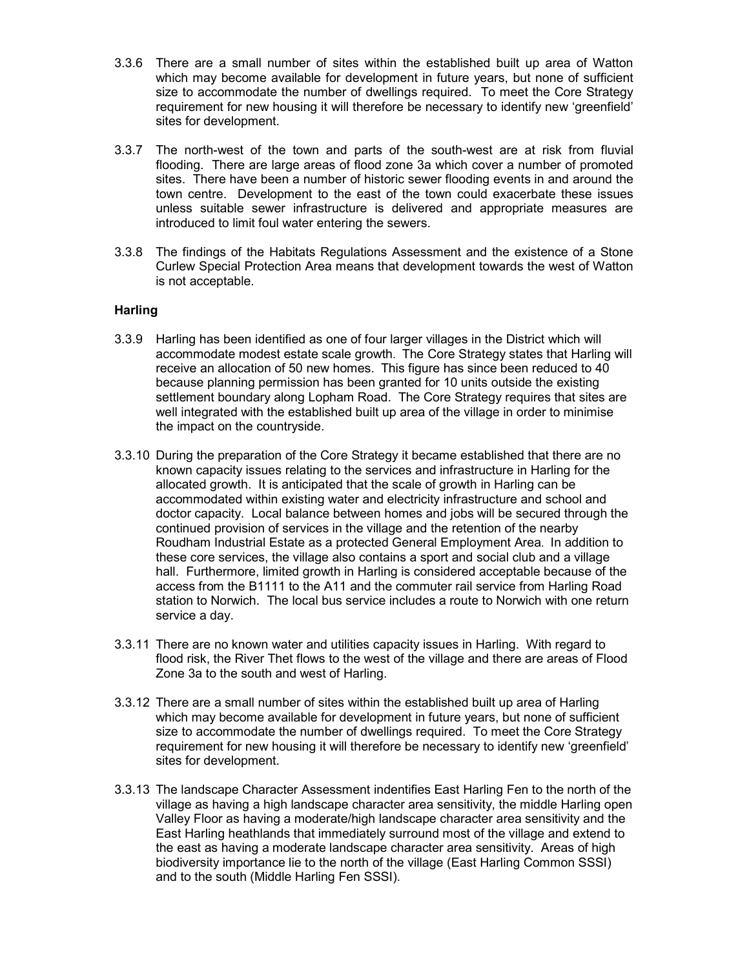- 3.3.6 There are a small number of sites within the established built up area of Watton which may become available for development in future years, but none of sufficient size to accommodate the number of dwellings required. To meet the Core Strategy requirement for new housing it will therefore be necessary to identify new 'greenfield' sites for development.
- 3.3.7 The north-west of the town and parts of the south-west are at risk from fluvial flooding. There are large areas of flood zone 3a which cover a number of promoted sites. There have been a number of historic sewer flooding events in and around the town centre. Development to the east of the town could exacerbate these issues unless suitable sewer infrastructure is delivered and appropriate measures are introduced to limit foul water entering the sewers.
- 3.3.8 The findings of the Habitats Regulations Assessment and the existence of a Stone Curlew Special Protection Area means that development towards the west of Watton is not acceptable.

# **Harling**

- 3.3.9 Harling has been identified as one of four larger villages in the District which will accommodate modest estate scale growth. The Core Strategy states that Harling will receive an allocation of 50 new homes. This figure has since been reduced to 40 because planning permission has been granted for 10 units outside the existing settlement boundary along Lopham Road. The Core Strategy requires that sites are well integrated with the established built up area of the village in order to minimise the impact on the countryside.
- 3.3.10 During the preparation of the Core Strategy it became established that there are no known capacity issues relating to the services and infrastructure in Harling for the allocated growth. It is anticipated that the scale of growth in Harling can be accommodated within existing water and electricity infrastructure and school and doctor capacity. Local balance between homes and jobs will be secured through the continued provision of services in the village and the retention of the nearby Roudham Industrial Estate as a protected General Employment Area. In addition to these core services, the village also contains a sport and social club and a village hall. Furthermore, limited growth in Harling is considered acceptable because of the access from the B1111 to the A11 and the commuter rail service from Harling Road station to Norwich. The local bus service includes a route to Norwich with one return service a day.
- 3.3.11 There are no known water and utilities capacity issues in Harling. With regard to flood risk, the River Thet flows to the west of the village and there are areas of Flood Zone 3a to the south and west of Harling.
- 3.3.12 There are a small number of sites within the established built up area of Harling which may become available for development in future years, but none of sufficient size to accommodate the number of dwellings required. To meet the Core Strategy requirement for new housing it will therefore be necessary to identify new 'greenfield' sites for development.
- 3.3.13 The landscape Character Assessment indentifies East Harling Fen to the north of the village as having a high landscape character area sensitivity, the middle Harling open Valley Floor as having a moderate/high landscape character area sensitivity and the East Harling heathlands that immediately surround most of the village and extend to the east as having a moderate landscape character area sensitivity. Areas of high biodiversity importance lie to the north of the village (East Harling Common SSSI) and to the south (Middle Harling Fen SSSI).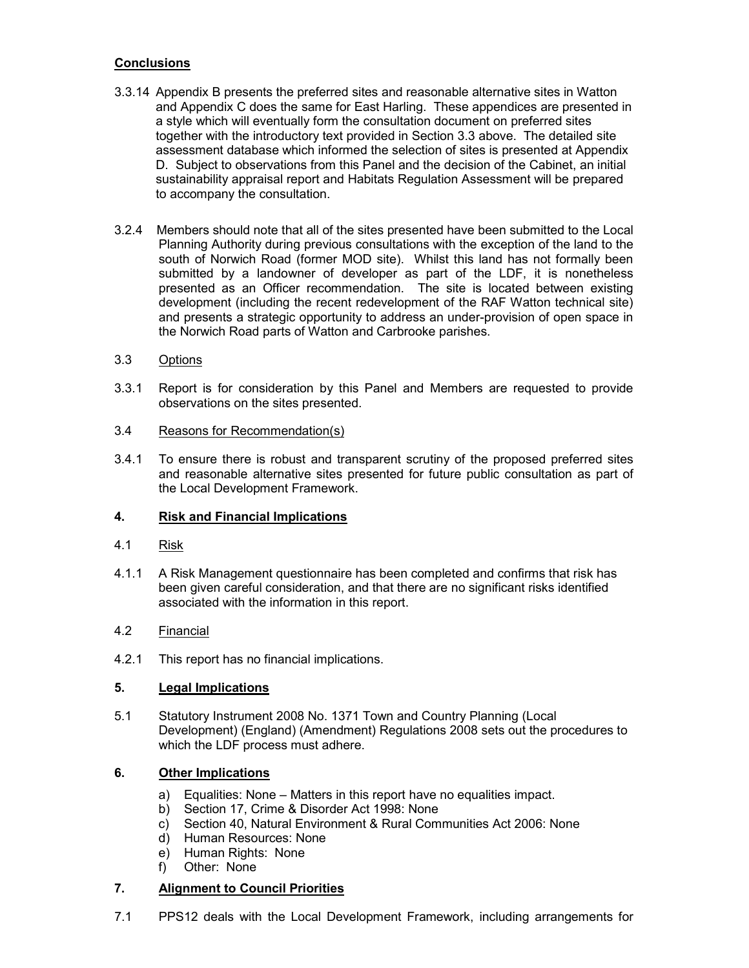# **Conclusions**

- 3.3.14 Appendix B presents the preferred sites and reasonable alternative sites in Watton and Appendix C does the same for East Harling. These appendices are presented in a style which will eventually form the consultation document on preferred sites together with the introductory text provided in Section 3.3 above. The detailed site assessment database which informed the selection of sites is presented at Appendix D. Subject to observations from this Panel and the decision of the Cabinet, an initial sustainability appraisal report and Habitats Regulation Assessment will be prepared to accompany the consultation.
- 3.2.4 Members should note that all of the sites presented have been submitted to the Local Planning Authority during previous consultations with the exception of the land to the south of Norwich Road (former MOD site). Whilst this land has not formally been submitted by a landowner of developer as part of the LDF, it is nonetheless presented as an Officer recommendation. The site is located between existing development (including the recent redevelopment of the RAF Watton technical site) and presents a strategic opportunity to address an under-provision of open space in the Norwich Road parts of Watton and Carbrooke parishes.
- 3.3 Options
- 3.3.1 Report is for consideration by this Panel and Members are requested to provide observations on the sites presented.
- 3.4 Reasons for Recommendation(s)
- 3.4.1 To ensure there is robust and transparent scrutiny of the proposed preferred sites and reasonable alternative sites presented for future public consultation as part of the Local Development Framework.

# 4. Risk and Financial Implications

- 4.1 Risk
- 4.1.1 A Risk Management questionnaire has been completed and confirms that risk has been given careful consideration, and that there are no significant risks identified associated with the information in this report.

#### 4.2 Financial

4.2.1 This report has no financial implications.

#### 5. Legal Implications

5.1 Statutory Instrument 2008 No. 1371 Town and Country Planning (Local Development) (England) (Amendment) Regulations 2008 sets out the procedures to which the LDF process must adhere.

# 6. Other Implications

- a) Equalities: None Matters in this report have no equalities impact.
- b) Section 17, Crime & Disorder Act 1998: None
- c) Section 40, Natural Environment & Rural Communities Act 2006: None
- d) Human Resources: None
- e) Human Rights: None
- f) Other: None

# 7. Alignment to Council Priorities

7.1 PPS12 deals with the Local Development Framework, including arrangements for